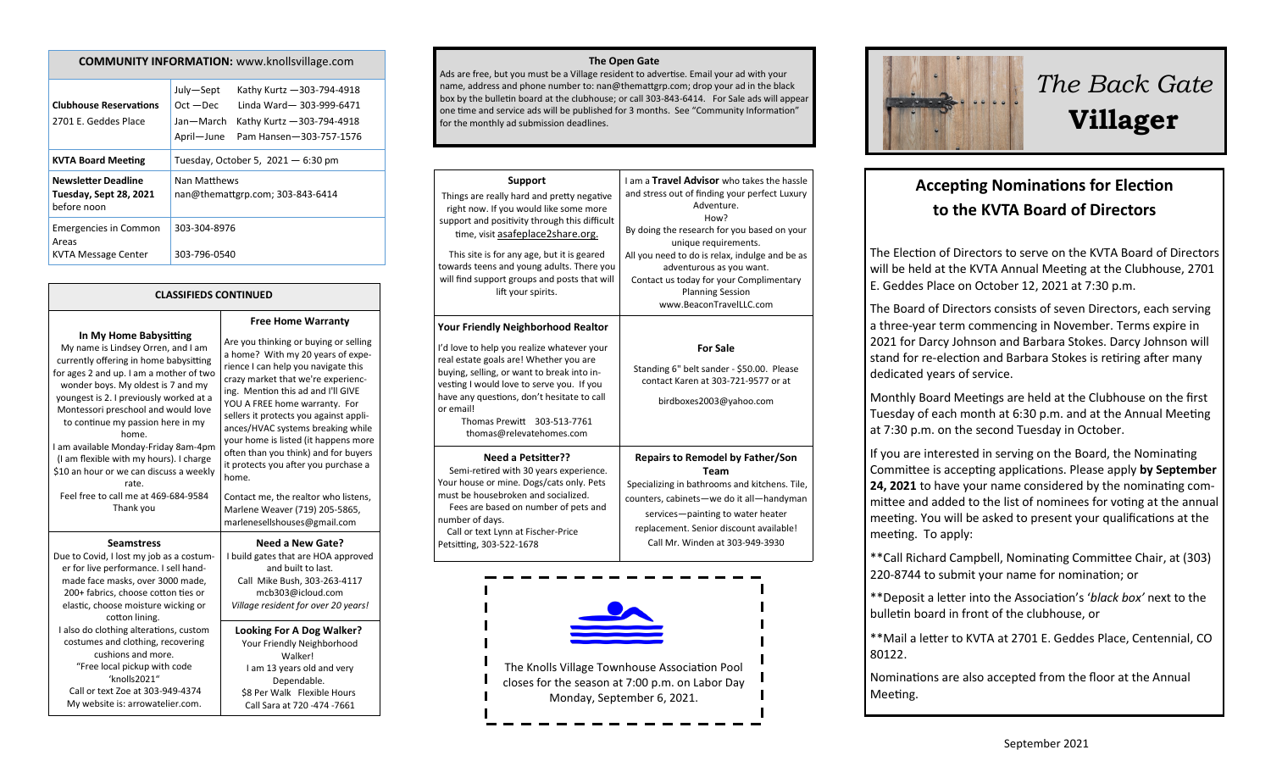#### **COMMUNITY INFORMATION:** www.knollsvillage.com

| <b>Clubhouse Reservations</b><br>2701 E. Geddes Place                      | Kathy Kurtz - 303-794-4918<br>July-Sept<br>Linda Ward-303-999-6471<br>$Oct - Dec$<br>Jan-March<br>Kathy Kurtz - 303-794-4918<br>April-June<br>Pam Hansen-303-757-1576 |
|----------------------------------------------------------------------------|-----------------------------------------------------------------------------------------------------------------------------------------------------------------------|
| <b>KVTA Board Meeting</b>                                                  | Tuesday, October 5, $2021 - 6:30$ pm                                                                                                                                  |
| <b>Newsletter Deadline</b><br><b>Tuesday, Sept 28, 2021</b><br>before noon | Nan Matthews<br>nan@themattgrp.com; 303-843-6414                                                                                                                      |
| <b>Emergencies in Common</b><br>Areas<br>KVTA Message Center               | 303-304-8976<br>303-796-0540                                                                                                                                          |

#### **CLASSIFIEDS CONTINUED**

**In My Home Babysitting**

My name is Lindsey Orren, and I am currently offering in home babysitting for ages 2 and up. I am a mother of two wonder boys. My oldest is 7 and my youngest is 2. I previously worked at a Montessori preschool and would love to continue my passion here in my home. I am available Monday-Friday 8am-4pm (I am flexible with my hours). I charge \$10 an hour or we can discuss a weekly rate. Feel free to call me at 469-684-9584 Thank you **Seamstress**

Due to Covid, I lost my job as a costumer for live performance. I sell handmade face masks, over 3000 made, 200+ fabrics, choose cotton ties or elastic, choose moisture wicking or cotton lining. I also do clothing alterations, custom costumes and clothing, recovering cushions and more. "Free local pickup with code 'knolls2021" Call or text Zoe at 303-949-4374 My website is: arrowatelier.com.

**Free Home Warranty** Are you thinking or buying or selling a home? With my 20 years of experience I can help you navigate this crazy market that we're experiencing. Mention this ad and I'll GIVE YOU A FREE home warranty. For sellers it protects you against appliances/HVAC systems breaking while your home is listed (it happens more often than you think) and for buyers it protects you after you purchase a home. Contact me, the realtor who listens,

Marlene Weaver (719) 205-5865, marlenesellshouses@gmail.com

**Need a New Gate?** I build gates that are HOA approved and built to last. Call Mike Bush, 303-263-4117 mcb303@icloud.com *Village resident for over 20 years!*

**Looking For A Dog Walker?** Your Friendly Neighborhood Walker! I am 13 years old and very Dependable. \$8 Per Walk Flexible Hours Call Sara at 720 -474 -7661

#### **The Open Gate**

Ads are free, but you must be a Village resident to advertise. Email your ad with your name, address and phone number to: nan@themattgrp.com; drop your ad in the black box by the bulletin board at the clubhouse; or call 303-843-6414. For Sale ads will appear one time and service ads will be published for 3 months. See "Community Information" for the monthly ad submission deadlines.

| Support<br>Things are really hard and pretty negative<br>right now. If you would like some more<br>support and positivity through this difficult<br>time, visit asafeplace2share.org.<br>This site is for any age, but it is geared<br>towards teens and young adults. There you<br>will find support groups and posts that will<br>lift your spirits. | I am a Travel Advisor who takes the hassle<br>and stress out of finding your perfect Luxury<br>Adventure.<br>How?<br>By doing the research for you based on your<br>unique requirements.<br>All you need to do is relax, indulge and be as<br>adventurous as you want.<br>Contact us today for your Complimentary<br><b>Planning Session</b><br>www.BeaconTravelLLC.com |
|--------------------------------------------------------------------------------------------------------------------------------------------------------------------------------------------------------------------------------------------------------------------------------------------------------------------------------------------------------|-------------------------------------------------------------------------------------------------------------------------------------------------------------------------------------------------------------------------------------------------------------------------------------------------------------------------------------------------------------------------|
| <b>Your Friendly Neighborhood Realtor</b>                                                                                                                                                                                                                                                                                                              |                                                                                                                                                                                                                                                                                                                                                                         |
| I'd love to help you realize whatever your<br>real estate goals are! Whether you are<br>buying, selling, or want to break into in-<br>vesting I would love to serve you. If you<br>have any questions, don't hesitate to call<br>or email!<br>Thomas Prewitt 303-513-7761<br>thomas@relevatehomes.com                                                  | <b>For Sale</b><br>Standing 6" belt sander - \$50.00. Please<br>contact Karen at 303-721-9577 or at<br>birdboxes2003@yahoo.com                                                                                                                                                                                                                                          |
| <b>Need a Petsitter??</b><br>Semi-retired with 30 years experience.<br>Your house or mine. Dogs/cats only. Pets<br>must be housebroken and socialized.<br>Fees are based on number of pets and<br>number of days.<br>Call or text Lynn at Fischer-Price<br>Petsitting, 303-522-1678                                                                    | <b>Repairs to Remodel by Father/Son</b><br>Team<br>Specializing in bathrooms and kitchens. Tile,<br>counters, cabinets-we do it all-handyman<br>services-painting to water heater<br>replacement. Senior discount available!<br>Call Mr. Winden at 303-949-3930                                                                                                         |
|                                                                                                                                                                                                                                                                                                                                                        |                                                                                                                                                                                                                                                                                                                                                                         |





# *The Back Gate*  **Villager**

# **Accepting Nominations for Election to the KVTA Board of Directors**

The Election of Directors to serve on the KVTA Board of Directors will be held at the KVTA Annual Meeting at the Clubhouse, 2701 E. Geddes Place on October 12, 2021 at 7:30 p.m.

The Board of Directors consists of seven Directors, each serving a three-year term commencing in November. Terms expire in 2021 for Darcy Johnson and Barbara Stokes. Darcy Johnson will stand for re-election and Barbara Stokes is retiring after many dedicated years of service.

Monthly Board Meetings are held at the Clubhouse on the first Tuesday of each month at 6:30 p.m. and at the Annual Meeting at 7:30 p.m. on the second Tuesday in October.

If you are interested in serving on the Board, the Nominating Committee is accepting applications. Please apply **by September 24, 2021** to have your name considered by the nominating committee and added to the list of nominees for voting at the annual meeting. You will be asked to present your qualifications at the meeting. To apply:

\*\*Call Richard Campbell, Nominating Committee Chair, at (303) 220-8744 to submit your name for nomination; or

\*\*Deposit a letter into the Association's '*black box'* next to the bulletin board in front of the clubhouse, or

\*\*Mail a letter to KVTA at 2701 E. Geddes Place, Centennial, CO 80122.

Nominations are also accepted from the floor at the Annual Meeting.